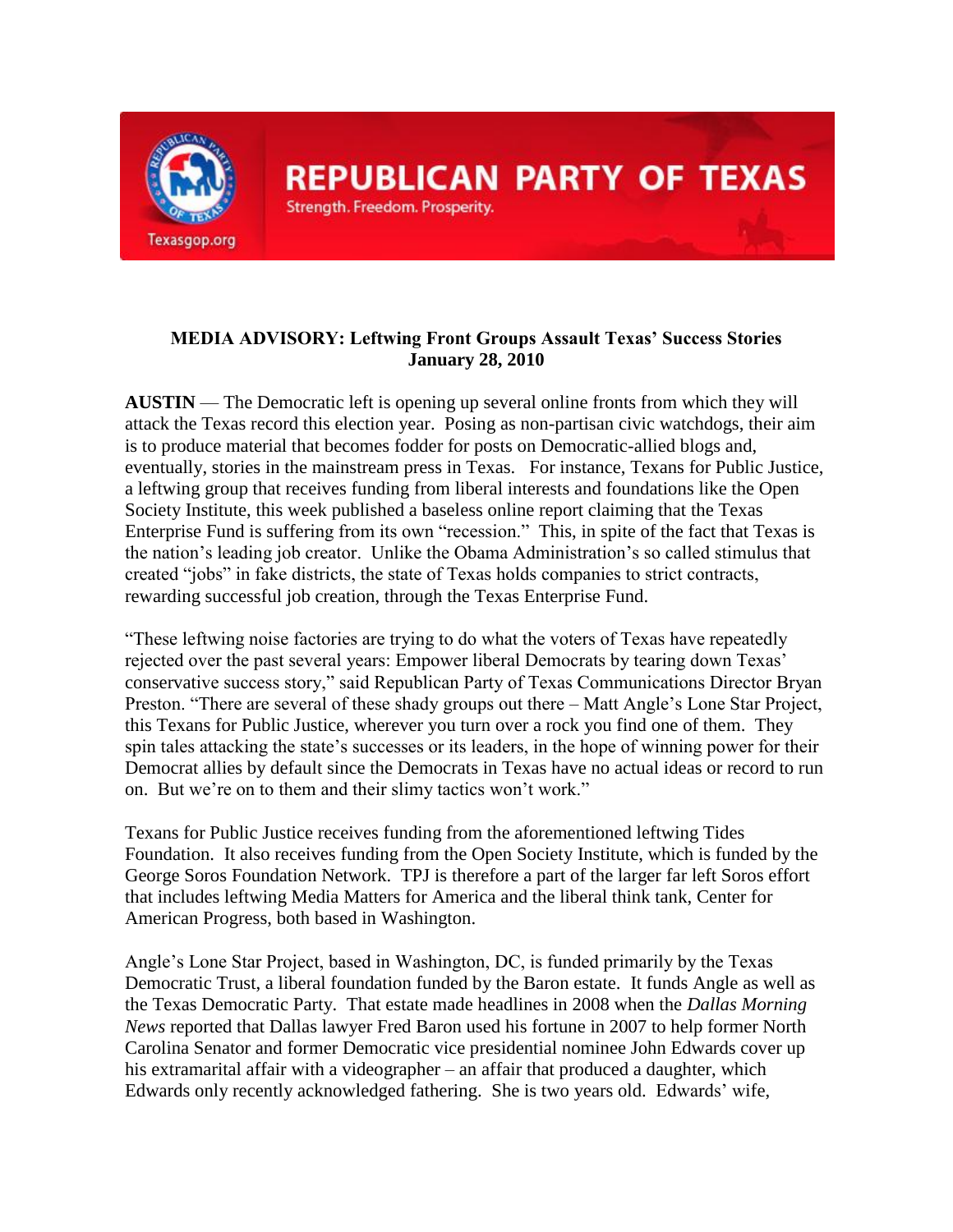

## **MEDIA ADVISORY: Leftwing Front Groups Assault Texas' Success Stories January 28, 2010**

**AUSTIN** — The Democratic left is opening up several online fronts from which they will attack the Texas record this election year. Posing as non-partisan civic watchdogs, their aim is to produce material that becomes fodder for posts on Democratic-allied blogs and, eventually, stories in the mainstream press in Texas. For instance, Texans for Public Justice, a leftwing group that receives funding from liberal interests and foundations like the Open Society Institute, this week published a baseless online report claiming that the Texas Enterprise Fund is suffering from its own "recession." This, in spite of the fact that Texas is the nation's leading job creator. Unlike the Obama Administration's so called stimulus that created ―jobs‖ in fake districts, the state of Texas holds companies to strict contracts, rewarding successful job creation, through the Texas Enterprise Fund.

―These leftwing noise factories are trying to do what the voters of Texas have repeatedly rejected over the past several years: Empower liberal Democrats by tearing down Texas' conservative success story," said Republican Party of Texas Communications Director Bryan Preston. "There are several of these shady groups out there – Matt Angle's Lone Star Project, this Texans for Public Justice, wherever you turn over a rock you find one of them. They spin tales attacking the state's successes or its leaders, in the hope of winning power for their Democrat allies by default since the Democrats in Texas have no actual ideas or record to run on. But we're on to them and their slimy tactics won't work."

Texans for Public Justice receives funding from the aforementioned leftwing Tides Foundation. It also receives funding from the Open Society Institute, which is funded by the George Soros Foundation Network. TPJ is therefore a part of the larger far left Soros effort that includes leftwing Media Matters for America and the liberal think tank, Center for American Progress, both based in Washington.

Angle's Lone Star Project, based in Washington, DC, is funded primarily by the Texas Democratic Trust, a liberal foundation funded by the Baron estate. It funds Angle as well as the Texas Democratic Party. That estate made headlines in 2008 when the *Dallas Morning News* reported that Dallas lawyer Fred Baron used his fortune in 2007 to help former North Carolina Senator and former Democratic vice presidential nominee John Edwards cover up his extramarital affair with a videographer – an affair that produced a daughter, which Edwards only recently acknowledged fathering. She is two years old. Edwards' wife,